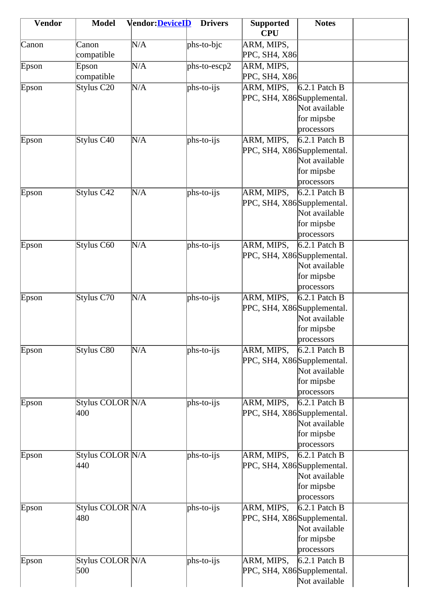| <b>Vendor</b> | <b>Model</b>     | <b>Vendor:DeviceID</b> | <b>Drivers</b> | <b>Supported</b><br><b>CPU</b> | <b>Notes</b>             |  |
|---------------|------------------|------------------------|----------------|--------------------------------|--------------------------|--|
|               |                  |                        |                |                                |                          |  |
| Canon         | Canon            | N/A                    | $phs-to-bic$   | ARM, MIPS,                     |                          |  |
|               | compatible       |                        |                | PPC, SH4, X86                  |                          |  |
| Epson         | Epson            | N/A                    | $phs-to-escp2$ | ARM, MIPS,                     |                          |  |
|               | compatible       |                        |                | PPC, SH4, X86                  |                          |  |
| Epson         | Stylus C20       | N/A                    | $phs-to-ijs$   | ARM, MIPS,                     | $6.2.1$ Patch B          |  |
|               |                  |                        |                | PPC, SH4, X86 Supplemental.    | Not available            |  |
|               |                  |                        |                |                                |                          |  |
|               |                  |                        |                |                                | for mipsbe<br>processors |  |
|               | Stylus C40       | N/A                    | $phs-to-ijs$   | ARM, MIPS,                     | $6.2.1$ Patch B          |  |
| Epson         |                  |                        |                | PPC, SH4, X86 Supplemental.    |                          |  |
|               |                  |                        |                |                                | Not available            |  |
|               |                  |                        |                |                                |                          |  |
|               |                  |                        |                |                                | for mipsbe               |  |
|               |                  |                        |                |                                | processors               |  |
| Epson         | Stylus C42       | N/A                    | $phs-to-ijs$   | ARM, MIPS,                     | $6.2.1$ Patch B          |  |
|               |                  |                        |                | PPC, SH4, X86 Supplemental.    |                          |  |
|               |                  |                        |                |                                | Not available            |  |
|               |                  |                        |                |                                | for mipsbe               |  |
|               |                  |                        |                |                                | processors               |  |
| Epson         | Stylus C60       | N/A                    | $phs-to-ijs$   | ARM, MIPS,                     | $6.2.1$ Patch B          |  |
|               |                  |                        |                | PPC, SH4, X86 Supplemental.    |                          |  |
|               |                  |                        |                |                                | Not available            |  |
|               |                  |                        |                |                                | for mipsbe               |  |
|               |                  |                        |                |                                | processors               |  |
| Epson         | Stylus C70       | N/A                    | phs-to-ijs     | ARM, MIPS,                     | $6.2.1$ Patch B          |  |
|               |                  |                        |                | PPC, SH4, X86Supplemental.     |                          |  |
|               |                  |                        |                |                                | Not available            |  |
|               |                  |                        |                |                                | for mipsbe               |  |
|               |                  |                        |                |                                | processors               |  |
| Epson         | Stylus C80       | N/A                    | $phs-to-ijs$   | ARM, MIPS,                     | $6.2.1$ Patch B          |  |
|               |                  |                        |                | PPC, SH4, X86 Supplemental.    |                          |  |
|               |                  |                        |                |                                | Not available            |  |
|               |                  |                        |                |                                | for mipsbe               |  |
|               |                  |                        |                |                                | processors               |  |
| Epson         | Stylus COLOR N/A |                        | $phs-to-ijs$   | ARM, MIPS,                     | $6.2.1$ Patch B          |  |
|               | 400              |                        |                | PPC, SH4, X86 Supplemental.    |                          |  |
|               |                  |                        |                |                                | Not available            |  |
|               |                  |                        |                |                                | for mipsbe               |  |
|               |                  |                        |                |                                | processors               |  |
| Epson         | Stylus COLOR N/A |                        | $phs-to-ijs$   | ARM, MIPS,                     | $6.2.1$ Patch B          |  |
|               | 440              |                        |                | PPC, SH4, X86 Supplemental.    |                          |  |
|               |                  |                        |                |                                | Not available            |  |
|               |                  |                        |                |                                | for mipsbe               |  |
|               |                  |                        |                |                                | processors               |  |
| Epson         | Stylus COLOR N/A |                        | $phs-to-ijs$   | ARM, MIPS,                     | $6.2.1$ Patch B          |  |
|               | 480              |                        |                | PPC, SH4, X86 Supplemental.    |                          |  |
|               |                  |                        |                |                                | Not available            |  |
|               |                  |                        |                |                                | for mipsbe               |  |
|               |                  |                        |                |                                | processors               |  |
| Epson         | Stylus COLOR N/A |                        | $phs-to-ijs$   | ARM, MIPS,                     | $6.2.1$ Patch B          |  |
|               | 500              |                        |                | PPC, SH4, X86 Supplemental.    |                          |  |
|               |                  |                        |                |                                | Not available            |  |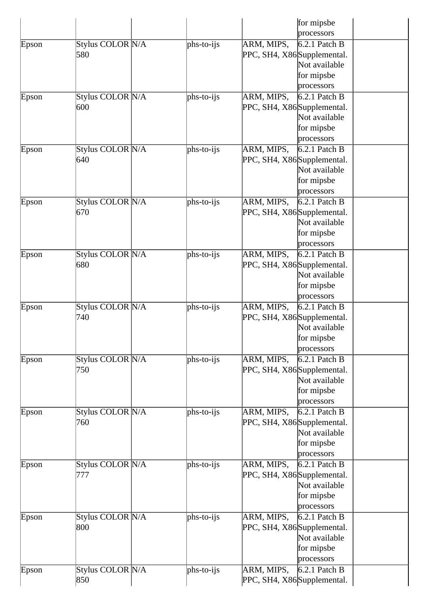|       |                  |              |                             | for mipsbe      |  |
|-------|------------------|--------------|-----------------------------|-----------------|--|
|       |                  |              |                             | processors      |  |
| Epson | Stylus COLOR N/A | $phs-to-ijs$ | ARM, MIPS,                  | $6.2.1$ Patch B |  |
|       | 580              |              | PPC, SH4, X86 Supplemental. |                 |  |
|       |                  |              |                             | Not available   |  |
|       |                  |              |                             | for mipsbe      |  |
|       |                  |              |                             | processors      |  |
| Epson | Stylus COLOR N/A | $phs-to-ijs$ | ARM, MIPS,                  | $6.2.1$ Patch B |  |
|       | 600              |              | PPC, SH4, X86 Supplemental. |                 |  |
|       |                  |              |                             | Not available   |  |
|       |                  |              |                             | for mipsbe      |  |
|       |                  |              |                             | processors      |  |
| Epson | Stylus COLOR N/A | $phs-to-ijs$ | ARM, MIPS,                  | $6.2.1$ Patch B |  |
|       | 640              |              | PPC, SH4, X86 Supplemental. |                 |  |
|       |                  |              |                             | Not available   |  |
|       |                  |              |                             | for mipsbe      |  |
|       |                  |              |                             | processors      |  |
|       | Stylus COLOR N/A |              |                             |                 |  |
| Epson |                  | $phs-to-ijs$ | ARM, MIPS,                  | $6.2.1$ Patch B |  |
|       | 670              |              | PPC, SH4, X86 Supplemental. | Not available   |  |
|       |                  |              |                             |                 |  |
|       |                  |              |                             | for mipsbe      |  |
|       |                  |              |                             | processors      |  |
| Epson | Stylus COLOR N/A | $phs-to-ijs$ | ARM, MIPS,                  | $6.2.1$ Patch B |  |
|       | 680              |              | PPC, SH4, X86 Supplemental. |                 |  |
|       |                  |              |                             | Not available   |  |
|       |                  |              |                             | for mipsbe      |  |
|       |                  |              |                             | processors      |  |
| Epson | Stylus COLOR N/A | $phs-to-ijs$ | ARM, MIPS,                  | $6.2.1$ Patch B |  |
|       | 740              |              | PPC, SH4, X86 Supplemental. |                 |  |
|       |                  |              |                             | Not available   |  |
|       |                  |              |                             | for mipsbe      |  |
|       |                  |              |                             | processors      |  |
| Epson | Stylus COLOR N/A | $phs-to-ijs$ | ARM, MIPS,                  | $6.2.1$ Patch B |  |
|       | 750              |              | PPC, SH4, X86 Supplemental. |                 |  |
|       |                  |              |                             | Not available   |  |
|       |                  |              |                             | for mipsbe      |  |
|       |                  |              |                             | processors      |  |
| Epson | Stylus COLOR N/A | $phs-to-ijs$ | ARM, MIPS,                  | $6.2.1$ Patch B |  |
|       | 760              |              | PPC, SH4, X86 Supplemental. |                 |  |
|       |                  |              |                             | Not available   |  |
|       |                  |              |                             | for mipsbe      |  |
|       |                  |              |                             | processors      |  |
| Epson | Stylus COLOR N/A | $phs-to-ijs$ | ARM, MIPS,                  | $6.2.1$ Patch B |  |
|       | 777              |              | PPC, SH4, X86 Supplemental. |                 |  |
|       |                  |              |                             | Not available   |  |
|       |                  |              |                             | for mipsbe      |  |
|       |                  |              |                             | processors      |  |
| Epson | Stylus COLOR N/A | $phs-to-ijs$ | ARM, MIPS,                  | $6.2.1$ Patch B |  |
|       | 800              |              | PPC, SH4, X86 Supplemental. |                 |  |
|       |                  |              |                             | Not available   |  |
|       |                  |              |                             | for mipsbe      |  |
|       |                  |              |                             | processors      |  |
| Epson | Stylus COLOR N/A | $phs-to-ijs$ | ARM, MIPS,                  | $6.2.1$ Patch B |  |
|       | 850              |              | PPC, SH4, X86 Supplemental. |                 |  |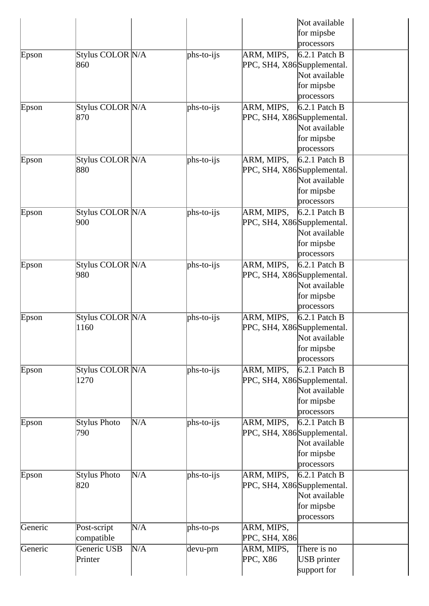|         |                  |     |              | Not available                  |
|---------|------------------|-----|--------------|--------------------------------|
|         |                  |     |              | for mipsbe                     |
|         |                  |     |              | processors                     |
| Epson   | Stylus COLOR N/A |     | $phs-to-ijs$ | $6.2.1$ Patch B<br>ARM, MIPS,  |
|         | 860              |     |              | PPC, SH4, X86 Supplemental.    |
|         |                  |     |              | Not available                  |
|         |                  |     |              | for mipsbe                     |
|         |                  |     |              | processors                     |
| Epson   | Stylus COLOR N/A |     | $phs-to-ijs$ | $6.2.1$ Patch B<br>ARM, MIPS,  |
|         | 870              |     |              | PPC, SH4, X86 Supplemental.    |
|         |                  |     |              | Not available                  |
|         |                  |     |              |                                |
|         |                  |     |              | for mipsbe                     |
|         |                  |     |              | processors                     |
| Epson   | Stylus COLOR N/A |     | $phs-to-ijs$ | ARM, MIPS,<br>$6.2.1$ Patch B  |
|         | 880              |     |              | PPC, SH4, X86 Supplemental.    |
|         |                  |     |              | Not available                  |
|         |                  |     |              | for mipsbe                     |
|         |                  |     |              | processors                     |
| Epson   | Stylus COLOR N/A |     | $phs-to-ijs$ | ARM, MIPS,<br>$6.2.1$ Patch B  |
|         | 900              |     |              | PPC, SH4, X86 Supplemental.    |
|         |                  |     |              | Not available                  |
|         |                  |     |              | for mipsbe                     |
|         |                  |     |              | processors                     |
| Epson   | Stylus COLOR N/A |     | phs-to-ijs   | ARM, MIPS,<br>$6.2.1$ Patch B  |
|         | 980              |     |              | PPC, SH4, X86 Supplemental.    |
|         |                  |     |              | Not available                  |
|         |                  |     |              | for mipsbe                     |
|         |                  |     |              | processors                     |
| Epson   | Stylus COLOR N/A |     | $phs-to-ijs$ | ARM, MIPS,<br>$6.2.1$ Patch B  |
|         | 1160             |     |              | PPC, SH4, X86 Supplemental.    |
|         |                  |     |              | Not available                  |
|         |                  |     |              | for mipsbe                     |
|         |                  |     |              |                                |
|         |                  |     |              | processors                     |
| Epson   | Stylus COLOR N/A |     | $phs-to-ijs$ | ARM, MIPS,<br>$6.2.1$ Patch B  |
|         | 1270             |     |              | PPC, SH4, X86 Supplemental.    |
|         |                  |     |              | Not available                  |
|         |                  |     |              | for mipsbe                     |
|         |                  |     |              | processors                     |
| Epson   | Stylus Photo     | N/A | $phs-to-ijs$ | ARM, MIPS,<br>$6.2.1$ Patch B  |
|         | 790              |     |              | PPC, SH4, X86 Supplemental.    |
|         |                  |     |              | Not available                  |
|         |                  |     |              | for mipsbe                     |
|         |                  |     |              | processors                     |
| Epson   | Stylus Photo     | N/A | $phs-to-ijs$ | ARM, MIPS,<br>$6.2.1$ Patch B  |
|         | 820              |     |              | PPC, SH4, X86 Supplemental.    |
|         |                  |     |              | Not available                  |
|         |                  |     |              | for mipsbe                     |
|         |                  |     |              | processors                     |
| Generic | Post-script      | N/A | phs-to-ps    | ARM, MIPS,                     |
|         |                  |     |              | PPC, SH4, X86                  |
|         | compatible       |     |              |                                |
| Generic | Generic USB      | N/A | devu-prn     | ARM, MIPS,<br>There is no      |
|         | Printer          |     |              | PPC, X86<br><b>USB</b> printer |
|         |                  |     |              | support for                    |